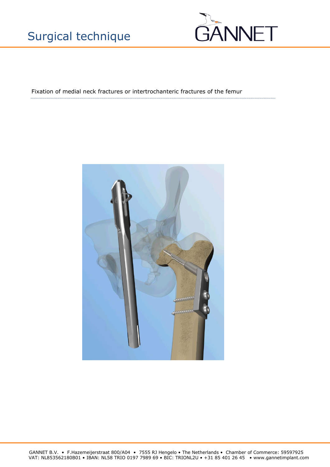# Surgical technique



Fixation of medial neck fractures or intertrochanteric fractures of the femur



GANNET B.V. • F.Hazemeijerstraat 800/A04 • 7555 RJ Hengelo • The Netherlands • Chamber of Commerce: 59597925 VAT: NL853562180B01 • IBAN: NL58 TRIO 0197 7989 69 • BIC: TRIONL2U • +31 85 401 26 45 • www.gannetimplant.com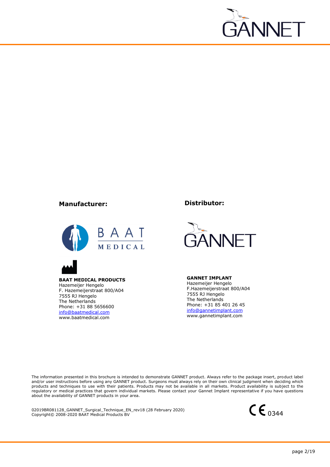

## **Manufacturer:**





**BAAT MEDICAL PRODUCTS** Hazemeijer Hengelo F. Hazemeijerstraat 800/A04 7555 RJ Hengelo The Netherlands Phone: +31 88 5656600 [info@baatmedical.com](mailto:info@baatmedical.com) www.baatmedical.com

**Distributor:**



**GANNET IMPLANT** Hazemeijer Hengelo F.Hazemeijerstraat 800/A04 7555 RJ Hengelo The Netherlands Phone: +31 85 401 26 45 [info@gannetimplant.com](mailto:info@gannetimplant.com) www.gannetimplant.com

The information presented in this brochure is intended to demonstrate GANNET product. Always refer to the package insert, product label and/or user instructions before using any GANNET product. Surgeons must always rely on their own clinical judgment when deciding which products and techniques to use with their patients. Products may not be available in all markets. Product availability is subject to the regulatory or medical practices that govern individual markets. Please contact your Gannet Implant representative if you have questions about the availability of GANNET products in your area.

02019BR081128\_GANNET\_Surgical\_Technique\_EN\_rev18 (28 February 2020) 02019BR081128\_GANNET\_Surgical\_Technique\_EN\_rev18 (28 February 2020)<br>Copyright© 2008-2020 BAAT Medical Products BV

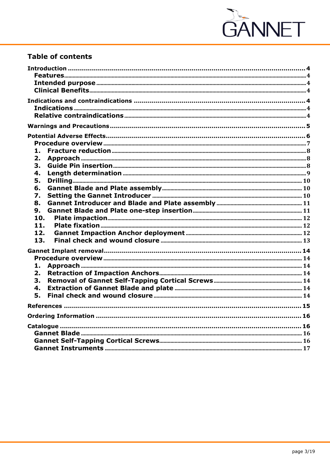

## **Table of contents**

| 1.  |  |
|-----|--|
| 2.  |  |
| 3.  |  |
| 4.  |  |
| 5.  |  |
| 6.  |  |
| 7.  |  |
| 8.  |  |
| 9.  |  |
| 10. |  |
| 11. |  |
| 12. |  |
| 13. |  |
|     |  |
|     |  |
| 1.  |  |
| 2.  |  |
| 3.  |  |
| 4.  |  |
| 5.  |  |
|     |  |
|     |  |
|     |  |
|     |  |
|     |  |
|     |  |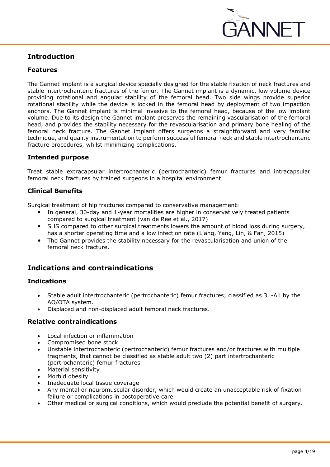

## <span id="page-3-0"></span>**Introduction**

## <span id="page-3-1"></span>**Features**

The Gannet implant is a surgical device specially designed for the stable fixation of neck fractures and stable intertrochanteric fractures of the femur. The Gannet implant is a dynamic, low volume device providing rotational and angular stability of the femoral head. Two side wings provide superior rotational stability while the device is locked in the femoral head by deployment of two impaction anchors. The Gannet implant is minimal invasive to the femoral head, because of the low implant volume. Due to its design the Gannet implant preserves the remaining vascularisation of the femoral head, and provides the stability necessary for the revascularisation and primary bone healing of the femoral neck fracture. The Gannet implant offers surgeons a straightforward and very familiar technique, and quality instrumentation to perform successful femoral neck and stable intertrochanteric fracture procedures, whilst minimizing complications.

## <span id="page-3-2"></span>**Intended purpose**

Treat stable extracapsular intertrochanteric (pertrochanteric) femur fractures and intracapsular femoral neck fractures by trained surgeons in a hospital environment.

## <span id="page-3-3"></span>**Clinical Benefits**

Surgical treatment of hip fractures compared to conservative management:

- In general, 30-day and 1-year mortalities are higher in conservatively treated patients compared to surgical treatment (van de Ree et al., 2017)
- SHS compared to other surgical treatments lowers the amount of blood loss during surgery, has a shorter operating time and a low infection rate (Liang, Yang, Lin, & Fan, 2015)
- The Gannet provides the stability necessary for the revascularisation and union of the femoral neck fracture.

## <span id="page-3-4"></span>**Indications and contraindications**

## <span id="page-3-5"></span>**Indications**

- Stable adult intertrochanteric (pertrochanteric) femur fractures; classified as 31-A1 by the AO/OTA system.
- Displaced and non-displaced adult femoral neck fractures.

## <span id="page-3-6"></span>**Relative contraindications**

- Local infection or inflammation
- Compromised bone stock
- Unstable intertrochanteric (pertrochanteric) femur fractures and/or fractures with multiple fragments, that cannot be classified as stable adult two (2) part intertrochanteric (pertrochanteric) femur fractures
- Material sensitivity
- Morbid obesity
- Inadequate local tissue coverage
- Any mental or neuromuscular disorder, which would create an unacceptable risk of fixation failure or complications in postoperative care.
- Other medical or surgical conditions, which would preclude the potential benefit of surgery.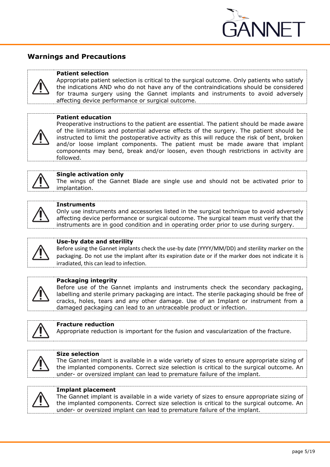

## <span id="page-4-0"></span>**Warnings and Precautions**

#### **Patient selection**

Appropriate patient selection is critical to the surgical outcome. Only patients who satisfy the indications AND who do not have any of the contraindications should be considered for trauma surgery using the Gannet implants and instruments to avoid adversely affecting device performance or surgical outcome.



Preoperative instructions to the patient are essential. The patient should be made aware of the limitations and potential adverse effects of the surgery. The patient should be instructed to limit the postoperative activity as this will reduce the risk of bent, broken and/or loose implant components. The patient must be made aware that implant components may bend, break and/or loosen, even though restrictions in activity are followed.



#### **Single activation only**

The wings of the Gannet Blade are single use and should not be activated prior to implantation.



#### **Instruments**

Only use instruments and accessories listed in the surgical technique to avoid adversely affecting device performance or surgical outcome. The surgical team must verify that the instruments are in good condition and in operating order prior to use during surgery.



#### **Use-by date and sterility**

Before using the Gannet implants check the use-by date (YYYY/MM/DD) and sterility marker on the packaging. Do not use the implant after its expiration date or if the marker does not indicate it is irradiated, this can lead to infection.



#### **Packaging integrity**

Before use of the Gannet implants and instruments check the secondary packaging, labelling and sterile primary packaging are intact. The sterile packaging should be free of cracks, holes, tears and any other damage. Use of an Implant or instrument from a damaged packaging can lead to an untraceable product or infection.



## **Fracture reduction**

Appropriate reduction is important for the fusion and vascularization of the fracture.



#### **Size selection**

The Gannet implant is available in a wide variety of sizes to ensure appropriate sizing of the implanted components. Correct size selection is critical to the surgical outcome. An under- or oversized implant can lead to premature failure of the implant.



## **Implant placement**

The Gannet implant is available in a wide variety of sizes to ensure appropriate sizing of the implanted components. Correct size selection is critical to the surgical outcome. An under- or oversized implant can lead to premature failure of the implant.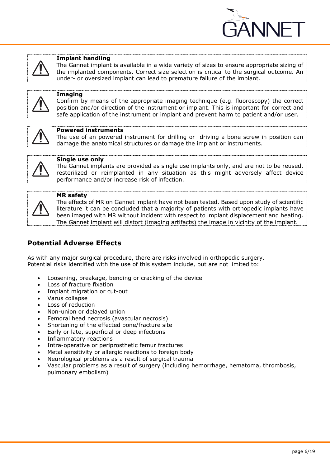

#### **Implant handling**

The Gannet implant is available in a wide variety of sizes to ensure appropriate sizing of the implanted components. Correct size selection is critical to the surgical outcome. An under- or oversized implant can lead to premature failure of the implant.



## **Imaging**

Confirm by means of the appropriate imaging technique (e.g. fluoroscopy) the correct position and/or direction of the instrument or implant. This is important for correct and safe application of the instrument or implant and prevent harm to patient and/or user.



## **Powered instruments**

The use of an powered instrument for drilling or driving a bone screw in position can damage the anatomical structures or damage the implant or instruments.



#### **Single use only**

The Gannet implants are provided as single use implants only, and are not to be reused, resterilized or reimplanted in any situation as this might adversely affect device performance and/or increase risk of infection.



#### **MR safety**

The effects of MR on Gannet implant have not been tested. Based upon study of scientific literature it can be concluded that a majority of patients with orthopedic implants have been imaged with MR without incident with respect to implant displacement and heating. The Gannet implant will distort (imaging artifacts) the image in vicinity of the implant.

## <span id="page-5-0"></span>**Potential Adverse Effects**

As with any major surgical procedure, there are risks involved in orthopedic surgery. Potential risks identified with the use of this system include, but are not limited to:

- Loosening, breakage, bending or cracking of the device
- Loss of fracture fixation
- Implant migration or cut-out
- Varus collapse
- Loss of reduction
- Non-union or delayed union
- Femoral head necrosis (avascular necrosis)
- Shortening of the effected bone/fracture site
- Early or late, superficial or deep infections
- Inflammatory reactions
- Intra-operative or periprosthetic femur fractures
- Metal sensitivity or allergic reactions to foreign body
- Neurological problems as a result of surgical trauma
- Vascular problems as a result of surgery (including hemorrhage, hematoma, thrombosis, pulmonary embolism)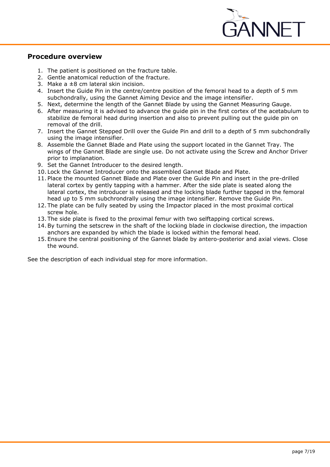

## <span id="page-6-0"></span>**Procedure overview**

- 1. The patient is positioned on the fracture table.
- 2. Gentle anatomical reduction of the fracture.
- 3. Make a  $\pm 8$  cm lateral skin incision.
- 4. Insert the Guide Pin in the centre/centre position of the femoral head to a depth of 5 mm subchondrally, using the Gannet Aiming Device and the image intensifier.
- 5. Next, determine the length of the Gannet Blade by using the Gannet Measuring Gauge.
- 6. After measuring it is advised to advance the guide pin in the first cortex of the acetabulum to stabilize de femoral head during insertion and also to prevent pulling out the guide pin on removal of the drill.
- 7. Insert the Gannet Stepped Drill over the Guide Pin and drill to a depth of 5 mm subchondrally using the image intensifier.
- 8. Assemble the Gannet Blade and Plate using the support located in the Gannet Tray. The wings of the Gannet Blade are single use. Do not activate using the Screw and Anchor Driver prior to implanation.
- 9. Set the Gannet Introducer to the desired length.
- 10. Lock the Gannet Introducer onto the assembled Gannet Blade and Plate.
- 11. Place the mounted Gannet Blade and Plate over the Guide Pin and insert in the pre-drilled lateral cortex by gently tapping with a hammer. After the side plate is seated along the lateral cortex, the introducer is released and the locking blade further tapped in the femoral head up to 5 mm subchrondrally using the image intensifier. Remove the Guide Pin.
- 12. The plate can be fully seated by using the Impactor placed in the most proximal cortical screw hole.
- 13. The side plate is fixed to the proximal femur with two selftapping cortical screws.
- 14.By turning the setscrew in the shaft of the locking blade in clockwise direction, the impaction anchors are expanded by which the blade is locked within the femoral head.
- 15. Ensure the central positioning of the Gannet blade by antero-posterior and axial views. Close the wound.

See the description of each individual step for more information.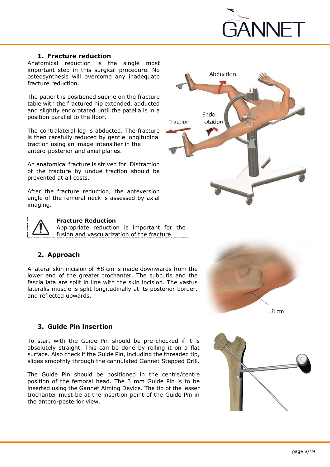

Abduction

Endo-

rotation

Traction

## **1. Fracture reduction**

<span id="page-7-0"></span>Anatomical reduction is the single most important step in this surgical procedure. No osteosynthesis will overcome any inadequate fracture reduction.

The patient is positioned supine on the fracture table with the fractured hip extended, adducted and slightly endorotated until the patella is in a position parallel to the floor.

The contralateral leg is abducted. The fracture is then carefully reduced by gentle longitudinal traction using an image intensifier in the antero-posterior and axial planes.

An anatomical fracture is strived for. Distraction of the fracture by undue traction should be prevented at all costs.

After the fracture reduction, the anteversion angle of the femoral neck is assessed by axial imaging.



#### **Fracture Reduction**

Appropriate reduction is important for the fusion and vascularization of the fracture.

## <span id="page-7-1"></span>**2. Approach**

A lateral skin incision of  $\pm 8$  cm is made downwards from the lower end of the greater trochanter. The subcutis and the fascia lata are split in line with the skin incision. The vastus lateralis muscle is split longitudinally at its posterior border, and reflected upwards.



## <span id="page-7-2"></span>**3. Guide Pin insertion**

To start with the Guide Pin should be pre-checked if it is absolutely straight. This can be done by rolling it on a flat surface. Also check if the Guide Pin, including the threaded tip, slides smoothly through the cannulated Gannet Stepped Drill.

The Guide Pin should be positioned in the centre/centre position of the femoral head. The 3 mm Guide Pin is to be inserted using the Gannet Aiming Device. The tip of the lesser trochanter must be at the insertion point of the Guide Pin in the antero-posterior view.

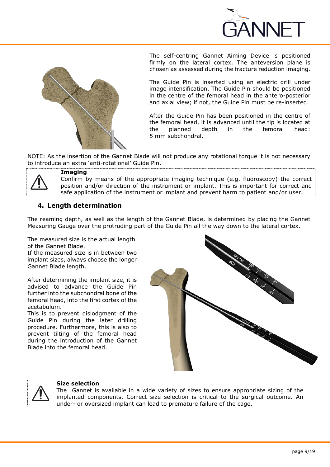



The self-centring Gannet Aiming Device is positioned firmly on the lateral cortex. The anteversion plane is chosen as assessed during the fracture reduction imaging.

The Guide Pin is inserted using an electric drill under image intensification. The Guide Pin should be positioned in the centre of the femoral head in the antero-posterior and axial view; if not, the Guide Pin must be re-inserted.

After the Guide Pin has been positioned in the centre of the femoral head, it is advanced until the tip is located at the planned depth in the femoral head: 5 mm subchondral.

NOTE: As the insertion of the Gannet Blade will not produce any rotational torque it is not necessary to introduce an extra 'anti-rotational' Guide Pin.



#### **Imaging**

Confirm by means of the appropriate imaging technique (e.g. fluoroscopy) the correct position and/or direction of the instrument or implant. This is important for correct and safe application of the instrument or implant and prevent harm to patient and/or user.

## <span id="page-8-0"></span>**4. Length determination**

The reaming depth, as well as the length of the Gannet Blade, is determined by placing the Gannet Measuring Gauge over the protruding part of the Guide Pin all the way down to the lateral cortex.

The measured size is the actual length of the Gannet Blade.

If the measured size is in between two implant sizes, always choose the longer Gannet Blade length.

After determining the implant size, it is advised to advance the Guide Pin further into the subchondral bone of the femoral head, into the first cortex of the acetabulum.

This is to prevent dislodgment of the Guide Pin during the later drilling procedure. Furthermore, this is also to prevent tilting of the femoral head during the introduction of the Gannet Blade into the femoral head.





#### **Size selection**

The Gannet is available in a wide variety of sizes to ensure appropriate sizing of the implanted components. Correct size selection is critical to the surgical outcome. An under- or oversized implant can lead to premature failure of the cage.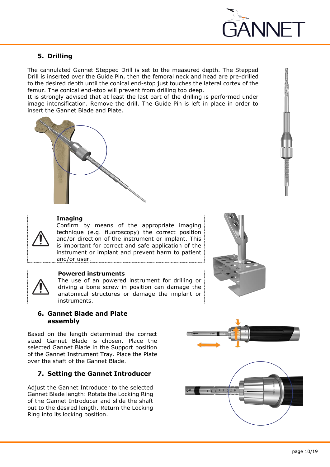

## <span id="page-9-0"></span>**5. Drilling**

The cannulated Gannet Stepped Drill is set to the measured depth. The Stepped Drill is inserted over the Guide Pin, then the femoral neck and head are pre-drilled to the desired depth until the conical end-stop just touches the lateral cortex of the femur. The conical end-stop will prevent from drilling too deep.

It is strongly advised that at least the last part of the drilling is performed under image intensification. Remove the drill. The Guide Pin is left in place in order to insert the Gannet Blade and Plate.



#### **Imaging**

Confirm by means of the appropriate imaging technique (e.g. fluoroscopy) the correct position and/or direction of the instrument or implant. This is important for correct and safe application of the instrument or implant and prevent harm to patient and/or user.



#### **Powered instruments**

The use of an powered instrument for drilling or driving a bone screw in position can damage the anatomical structures or damage the implant or instruments.



Based on the length determined the correct sized Gannet Blade is chosen. Place the selected Gannet Blade in the Support position of the Gannet Instrument Tray. Place the Plate over the shaft of the Gannet Blade.

## <span id="page-9-2"></span>**7. Setting the Gannet Introducer**

Adjust the Gannet Introducer to the selected Gannet Blade length: Rotate the Locking Ring of the Gannet Introducer and slide the shaft out to the desired length. Return the Locking Ring into its locking position.

<span id="page-9-1"></span>

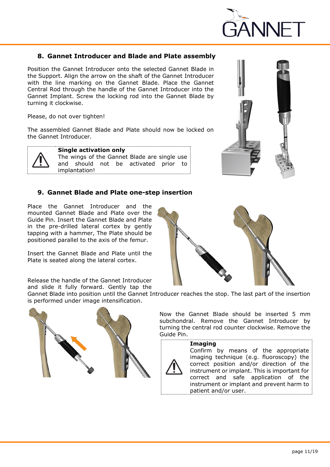

## <span id="page-10-0"></span>**8. Gannet Introducer and Blade and Plate assembly**

Position the Gannet Introducer onto the selected Gannet Blade in the Support. Align the arrow on the shaft of the Gannet Introducer with the line marking on the Gannet Blade. Place the Gannet Central Rod through the handle of the Gannet Introducer into the Gannet Implant. Screw the locking rod into the Gannet Blade by turning it clockwise.

Please, do not over tighten!

The assembled Gannet Blade and Plate should now be locked on the Gannet Introducer.



**Single activation only** The wings of the Gannet Blade are single use and should not be activated prior to implantation!

## <span id="page-10-1"></span>**9. Gannet Blade and Plate one-step insertion**

Place the Gannet Introducer and the mounted Gannet Blade and Plate over the Guide Pin. Insert the Gannet Blade and Plate in the pre-drilled lateral cortex by gently tapping with a hammer, The Plate should be positioned parallel to the axis of the femur.

Insert the Gannet Blade and Plate until the Plate is seated along the lateral cortex.





Release the handle of the Gannet Introducer and slide it fully forward. Gently tap the

Gannet Blade into position until the Gannet Introducer reaches the stop. The last part of the insertion is performed under image intensification.



Now the Gannet Blade should be inserted 5 mm subchondral. Remove the Gannet Introducer by turning the central rod counter clockwise. Remove the Guide Pin.

#### **Imaging**



Confirm by means of the appropriate imaging technique (e.g. fluoroscopy) the correct position and/or direction of the instrument or implant. This is important for correct and safe application of the instrument or implant and prevent harm to patient and/or user.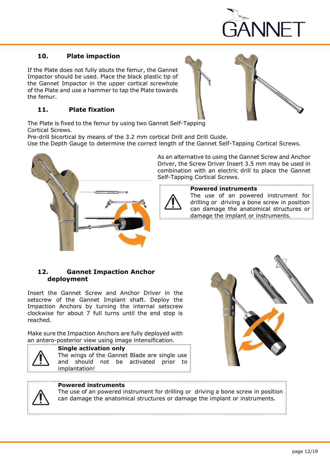

## <span id="page-11-0"></span>**10. Plate impaction**

If the Plate does not fully abuts the femur, the Gannet Impactor should be used. Place the black plastic tip of the Gannet Impactor in the upper cortical screwhole of the Plate and use a hammer to tap the Plate towards the femur.

## <span id="page-11-1"></span>**11. Plate fixation**

The Plate is fixed to the femur by using two Gannet Self-Tapping Cortical Screws.

Pre-drill bicortical by means of the 3.2 mm cortical Drill and Drill Guide.

Use the Depth Gauge to determine the correct length of the Gannet Self-Tapping Cortical Screws.



As an alternative to using the Gannet Screw and Anchor Driver, the Screw Driver Insert 3.5 mm may be used in combination with an electric drill to place the Gannet Self-Tapping Cortical Screws.

<span id="page-11-2"></span>

#### **Powered instruments**

The use of an powered instrument for drilling or driving a bone screw in position can damage the anatomical structures or damage the implant or instruments.

## **12. Gannet Impaction Anchor deployment**

Insert the Gannet Screw and Anchor Driver in the setscrew of the Gannet Implant shaft. Deploy the Impaction Anchors by turning the internal setscrew clockwise for about 7 full turns until the end stop is reached.

Make sure the Impaction Anchors are fully deployed with an antero-posterior view using image intensification.



## **Single activation only**

The wings of the Gannet Blade are single use and should not be activated prior to implantation!



## **Powered instruments**

The use of an powered instrument for drilling or driving a bone screw in position can damage the anatomical structures or damage the implant or instruments.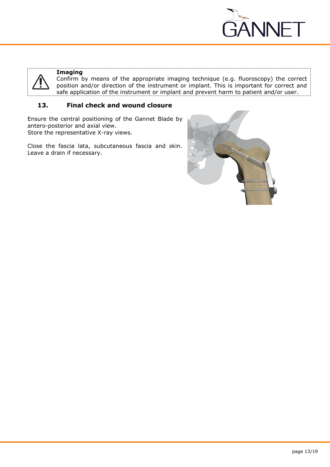

<span id="page-12-0"></span>

## **Imaging**

Confirm by means of the appropriate imaging technique (e.g. fluoroscopy) the correct position and/or direction of the instrument or implant. This is important for correct and safe application of the instrument or implant and prevent harm to patient and/or user.

## **13. Final check and wound closure**

Ensure the central positioning of the Gannet Blade by antero-posterior and axial view. Store the representative X-ray views.

Close the fascia lata, subcutaneous fascia and skin. Leave a drain if necessary.

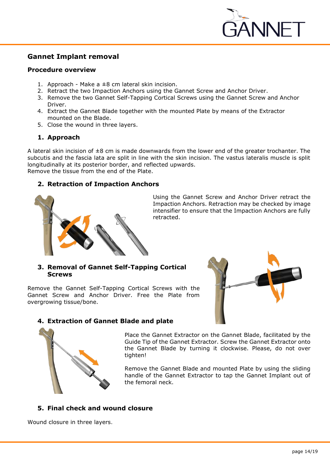

## <span id="page-13-0"></span>**Gannet Implant removal**

#### <span id="page-13-1"></span>**Procedure overview**

- 1. Approach Make a  $\pm 8$  cm lateral skin incision.
- 2. Retract the two Impaction Anchors using the Gannet Screw and Anchor Driver.
- 3. Remove the two Gannet Self-Tapping Cortical Screws using the Gannet Screw and Anchor Driver.
- 4. Extract the Gannet Blade together with the mounted Plate by means of the Extractor mounted on the Blade.
- 5. Close the wound in three layers.

## <span id="page-13-2"></span>**1. Approach**

A lateral skin incision of  $\pm 8$  cm is made downwards from the lower end of the greater trochanter. The subcutis and the fascia lata are split in line with the skin incision. The vastus lateralis muscle is split longitudinally at its posterior border, and reflected upwards. Remove the tissue from the end of the Plate.

## <span id="page-13-3"></span>**2. Retraction of Impaction Anchors**



Using the Gannet Screw and Anchor Driver retract the Impaction Anchors. Retraction may be checked by image intensifier to ensure that the Impaction Anchors are fully retracted.

## <span id="page-13-4"></span>**3. Removal of Gannet Self-Tapping Cortical Screws**

Remove the Gannet Self-Tapping Cortical Screws with the Gannet Screw and Anchor Driver. Free the Plate from overgrowing tissue/bone.



## <span id="page-13-5"></span>**4. Extraction of Gannet Blade and plate**



Place the Gannet Extractor on the Gannet Blade, facilitated by the Guide Tip of the Gannet Extractor. Screw the Gannet Extractor onto the Gannet Blade by turning it clockwise. Please, do not over tighten!

Remove the Gannet Blade and mounted Plate by using the sliding handle of the Gannet Extractor to tap the Gannet Implant out of the femoral neck.

## <span id="page-13-6"></span>**5. Final check and wound closure**

Wound closure in three layers.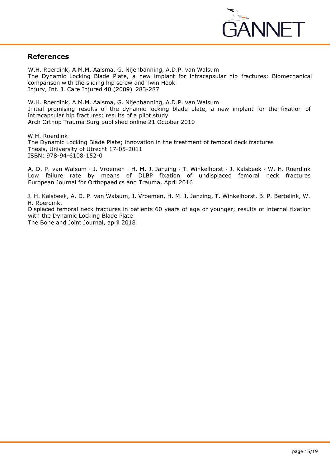

## <span id="page-14-0"></span>**References**

W.H. Roerdink, A.M.M. Aalsma, G. Nijenbanning, A.D.P. van Walsum The Dynamic Locking Blade Plate, a new implant for intracapsular hip fractures: Biomechanical comparison with the sliding hip screw and Twin Hook Injury, Int. J. Care Injured 40 (2009) 283-287

W.H. Roerdink, A.M.M. Aalsma, G. Nijenbanning, A.D.P. van Walsum Initial promising results of the dynamic locking blade plate, a new implant for the fixation of intracapsular hip fractures: results of a pilot study Arch Orthop Trauma Surg published online 21 October 2010

W.H. Roerdink The Dynamic Locking Blade Plate; innovation in the treatment of femoral neck fractures Thesis, University of Utrecht 17-05-2011 ISBN: 978-94-6108-152-0

A. D. P. van Walsum · J. Vroemen · H. M. J. Janzing · T. Winkelhorst · J. Kalsbeek · W. H. Roerdink Low failure rate by means of DLBP fixation of undisplaced femoral neck fractures European Journal for Orthopaedics and Trauma, April 2016

J. H. Kalsbeek, A. D. P. van Walsum, J. Vroemen, H. M. J. Janzing, T. Winkelhorst, B. P. Bertelink, W. H. Roerdink. Displaced femoral neck fractures in patients 60 years of age or younger; results of internal fixation with the Dynamic Locking Blade Plate The Bone and Joint Journal, april 2018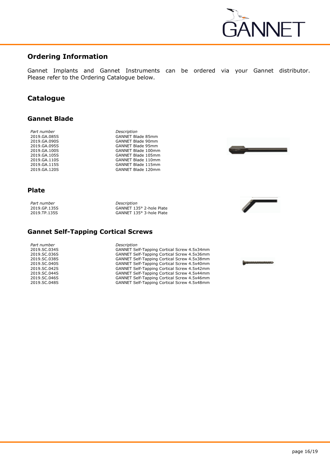

## <span id="page-15-0"></span>**Ordering Information**

<span id="page-15-1"></span>Gannet Implants and Gannet Instruments can be ordered via your Gannet distributor. Please refer to the Ordering Catalogue below.

## **Catalogue**

#### <span id="page-15-2"></span>**Gannet Blade**

*Part number Description*

2019.GA.085S GANNET Blade 85mm 2019.GA.090S GANNET Blade 90mm 2019.GA.095S GANNET Blade 95mm 2019.GA.100S GANNET Blade 100mm 2019.GA.105S GANNET Blade 105mm 2019.GA.110S GANNET Blade 110mm 2019.GA.115S GANNET Blade 115mm GANNET Blade 120mm



## **Plate**

*Part number Description*

2019.GP.135S GANNET 135° 2-hole Plate 2019.TP.135S GANNET 135° 3-hole Plate



<span id="page-15-3"></span>**Gannet Self-Tapping Cortical Screws**

| Part number  |
|--------------|
| 2019.SC.034S |
| 2019.SC.036S |
| 2019.SC.038S |
| 2019.SC.040S |
| 2019.SC.042S |
| 2019.SC.044S |
| 2019.SC.046S |
| 2019.SC.048S |

*Part number Description*

GANNET Self-Tapping Cortical Screw 4.5x34mm 2019.SC.036S GANNET Self-Tapping Cortical Screw 4.5x36mm 2019.SC.038S GANNET Self-Tapping Cortical Screw 4.5x38mm GANNET Self-Tapping Cortical Screw 4.5x40mm 2019.SC.042S GANNET Self-Tapping Cortical Screw 4.5x42mm 2019.SC.044S GANNET Self-Tapping Cortical Screw 4.5x44mm GANNET Self-Tapping Cortical Screw 4.5x46mm GANNET Self-Tapping Cortical Screw 4.5x48mm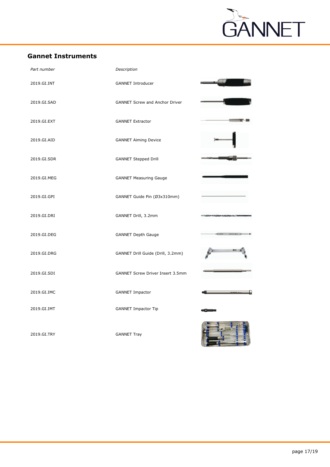

## <span id="page-16-0"></span>**Gannet Instruments**

| Part number | Description                             |  |
|-------------|-----------------------------------------|--|
| 2019.GI.INT | <b>GANNET Introducer</b>                |  |
| 2019.GI.SAD | <b>GANNET Screw and Anchor Driver</b>   |  |
| 2019.GI.EXT | <b>GANNET Extractor</b>                 |  |
| 2019.GI.AID | <b>GANNET Aiming Device</b>             |  |
| 2019.GI.SDR | <b>GANNET Stepped Drill</b>             |  |
| 2019.GI.MEG | <b>GANNET Measuring Gauge</b>           |  |
| 2019.GI.GPI | GANNET Guide Pin (Ø3x310mm)             |  |
| 2019.GI.DRI | GANNET Drill, 3.2mm                     |  |
| 2019.GI.DEG | <b>GANNET Depth Gauge</b>               |  |
| 2019.GI.DRG | GANNET Drill Guide (Drill, 3.2mm)       |  |
| 2019.GI.SDI | <b>GANNET Screw Driver Insert 3.5mm</b> |  |
| 2019.GI.IMC | <b>GANNET Impactor</b>                  |  |
| 2019.GI.IMT | <b>GANNET Impactor Tip</b>              |  |
| 2019.GI.TRY | <b>GANNET Tray</b>                      |  |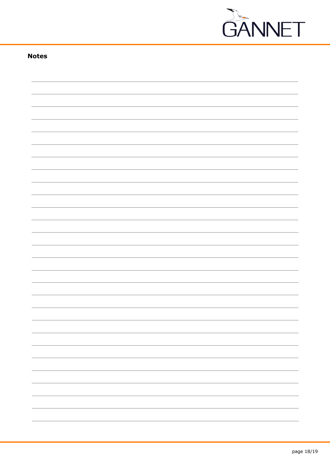

## **Notes**

|  | -                        |
|--|--------------------------|
|  | $\overline{\phantom{0}}$ |
|  |                          |
|  |                          |
|  |                          |
|  |                          |
|  |                          |
|  |                          |